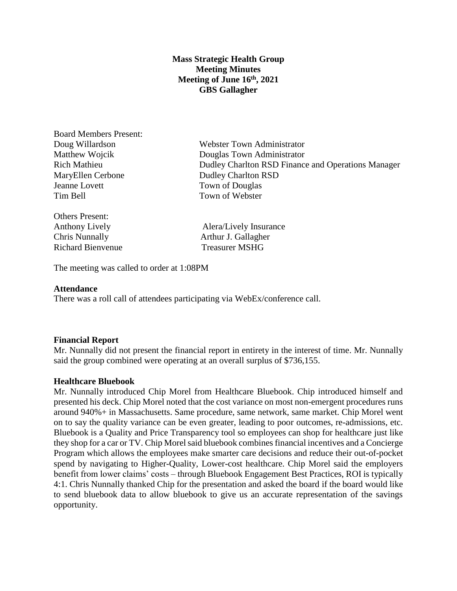# **Mass Strategic Health Group Meeting Minutes Meeting of June 16th, 2021 GBS Gallagher**

Board Members Present: MaryEllen Cerbone Dudley Charlton RSD Jeanne Lovett Town of Douglas Tim Bell Town of Webster

Others Present: Richard Bienvenue Treasurer MSHG

Doug Willardson Webster Town Administrator Matthew Wojcik Douglas Town Administrator Rich Mathieu Dudley Charlton RSD Finance and Operations Manager

Anthony Lively **Alera** Alera Alera Alera Alera Alera Alera Alera Alera Alera Alera Alera Alera Alera Alera Alera Alera Alera Alera Alera Alera Alera Alera Alera Alera Alera Alera Alera Alera Alera Alera Alera Alera Alera A Chris Nunnally Arthur J. Gallagher

The meeting was called to order at 1:08PM

## **Attendance**

There was a roll call of attendees participating via WebEx/conference call.

#### **Financial Report**

Mr. Nunnally did not present the financial report in entirety in the interest of time. Mr. Nunnally said the group combined were operating at an overall surplus of \$736,155.

## **Healthcare Bluebook**

Mr. Nunnally introduced Chip Morel from Healthcare Bluebook. Chip introduced himself and presented his deck. Chip Morel noted that the cost variance on most non-emergent procedures runs around 940%+ in Massachusetts. Same procedure, same network, same market. Chip Morel went on to say the quality variance can be even greater, leading to poor outcomes, re-admissions, etc. Bluebook is a Quality and Price Transparency tool so employees can shop for healthcare just like they shop for a car or TV. Chip Morel said bluebook combines financial incentives and a Concierge Program which allows the employees make smarter care decisions and reduce their out-of-pocket spend by navigating to Higher-Quality, Lower-cost healthcare. Chip Morel said the employers benefit from lower claims' costs – through Bluebook Engagement Best Practices, ROI is typically 4:1. Chris Nunnally thanked Chip for the presentation and asked the board if the board would like to send bluebook data to allow bluebook to give us an accurate representation of the savings opportunity.